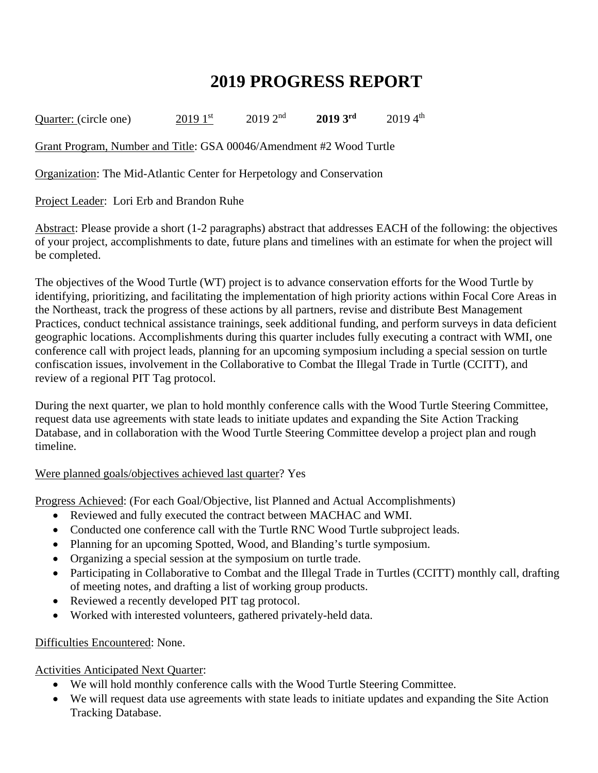## **2019 PROGRESS REPORT**

Quarter: (circle one) 2019 1<sup>st</sup> 2019 2<sup>nd</sup> 2019 3<sup>rd</sup> 2019 4<sup>th</sup>

Grant Program, Number and Title: GSA 00046/Amendment #2 Wood Turtle

Organization: The Mid-Atlantic Center for Herpetology and Conservation

Project Leader: Lori Erb and Brandon Ruhe

Abstract: Please provide a short (1-2 paragraphs) abstract that addresses EACH of the following: the objectives of your project, accomplishments to date, future plans and timelines with an estimate for when the project will be completed.

The objectives of the Wood Turtle (WT) project is to advance conservation efforts for the Wood Turtle by identifying, prioritizing, and facilitating the implementation of high priority actions within Focal Core Areas in the Northeast, track the progress of these actions by all partners, revise and distribute Best Management Practices, conduct technical assistance trainings, seek additional funding, and perform surveys in data deficient geographic locations. Accomplishments during this quarter includes fully executing a contract with WMI, one conference call with project leads, planning for an upcoming symposium including a special session on turtle confiscation issues, involvement in the Collaborative to Combat the Illegal Trade in Turtle (CCITT), and review of a regional PIT Tag protocol.

During the next quarter, we plan to hold monthly conference calls with the Wood Turtle Steering Committee, request data use agreements with state leads to initiate updates and expanding the Site Action Tracking Database, and in collaboration with the Wood Turtle Steering Committee develop a project plan and rough timeline.

## Were planned goals/objectives achieved last quarter? Yes

Progress Achieved: (For each Goal/Objective, list Planned and Actual Accomplishments)

- Reviewed and fully executed the contract between MACHAC and WMI.
- Conducted one conference call with the Turtle RNC Wood Turtle subproject leads.
- Planning for an upcoming Spotted, Wood, and Blanding's turtle symposium.
- Organizing a special session at the symposium on turtle trade.
- Participating in Collaborative to Combat and the Illegal Trade in Turtles (CCITT) monthly call, drafting of meeting notes, and drafting a list of working group products.
- Reviewed a recently developed PIT tag protocol.
- Worked with interested volunteers, gathered privately-held data.

## Difficulties Encountered: None.

Activities Anticipated Next Quarter:

- We will hold monthly conference calls with the Wood Turtle Steering Committee.
- We will request data use agreements with state leads to initiate updates and expanding the Site Action Tracking Database.